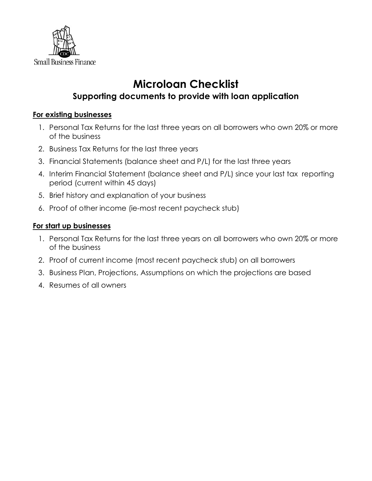

# **Microloan Checklist**

## **Supporting documents to provide with loan application**

### **For existing businesses**

- 1. Personal Tax Returns for the last three years on all borrowers who own 20% or more of the business
- 2. Business Tax Returns for the last three years
- 3. Financial Statements (balance sheet and P/L) for the last three years
- 4. Interim Financial Statement (balance sheet and P/L) since your last tax reporting period (current within 45 days)
- 5. Brief history and explanation of your business
- 6. Proof of other income (ie-most recent paycheck stub)

#### **For start up businesses**

- 1. Personal Tax Returns for the last three years on all borrowers who own 20% or more of the business
- 2. Proof of current income (most recent paycheck stub) on all borrowers
- 3. Business Plan, Projections, Assumptions on which the projections are based
- 4. Resumes of all owners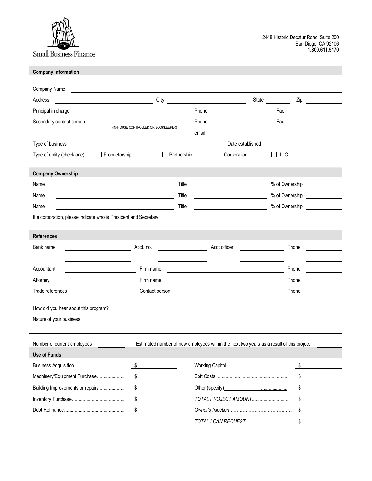

#### **Company Information**

| Company Name                                                     |                                                                                         |       |                                                                                                                       |       |                |  |
|------------------------------------------------------------------|-----------------------------------------------------------------------------------------|-------|-----------------------------------------------------------------------------------------------------------------------|-------|----------------|--|
| Address<br><u> 1990 - John Barnett, fransk politiker (</u>       | City                                                                                    |       |                                                                                                                       | State | Zip            |  |
| Principal in charge                                              |                                                                                         | Phone |                                                                                                                       | Fax   |                |  |
| Secondary contact person                                         |                                                                                         | Phone |                                                                                                                       | Fax   |                |  |
|                                                                  | (IN-HOUSE CONTROLLER OR BOOKKEEPER)                                                     | email |                                                                                                                       |       |                |  |
| Type of business                                                 |                                                                                         |       | Date established                                                                                                      |       |                |  |
| Type of entity (check one)<br>Proprietorship                     | Partnership                                                                             |       | Corporation                                                                                                           | Π LLC |                |  |
| <b>Company Ownership</b>                                         |                                                                                         |       |                                                                                                                       |       |                |  |
| Name                                                             | Title                                                                                   |       |                                                                                                                       |       | % of Ownership |  |
| Name                                                             | Title                                                                                   |       |                                                                                                                       |       | % of Ownership |  |
| Name                                                             | Title                                                                                   |       |                                                                                                                       |       | % of Ownership |  |
| If a corporation, please indicate who is President and Secretary |                                                                                         |       |                                                                                                                       |       |                |  |
|                                                                  |                                                                                         |       |                                                                                                                       |       |                |  |
| <b>References</b>                                                |                                                                                         |       |                                                                                                                       |       |                |  |
| Bank name                                                        | Acct. no.                                                                               |       | Acct officer                                                                                                          |       | Phone          |  |
|                                                                  |                                                                                         |       |                                                                                                                       |       |                |  |
| Accountant                                                       | Firm name                                                                               |       |                                                                                                                       |       | Phone          |  |
| Attorney                                                         | Firm name                                                                               |       | <u> 1989 - Jan Samuel Barbara, político establecido de la provincia de la provincia de la provincia de la provinc</u> |       | Phone          |  |
| Trade references                                                 | Contact person                                                                          |       | <u> 1980 - Johann Barbara, martin a</u>                                                                               |       | Phone          |  |
| How did you hear about this program?                             |                                                                                         |       |                                                                                                                       |       |                |  |
| Nature of your business                                          |                                                                                         |       |                                                                                                                       |       |                |  |
|                                                                  |                                                                                         |       |                                                                                                                       |       |                |  |
| Number of current employees                                      | Estimated number of new employees within the next two years as a result of this project |       |                                                                                                                       |       |                |  |
| <b>Use of Funds</b>                                              |                                                                                         |       |                                                                                                                       |       |                |  |
|                                                                  |                                                                                         |       |                                                                                                                       |       |                |  |
| Machinery/Equipment Purchase                                     | $\sqrt{2}$                                                                              |       |                                                                                                                       |       | \$             |  |
| Building Improvements or repairs                                 | $\frac{1}{2}$                                                                           |       |                                                                                                                       |       | \$             |  |
|                                                                  | $\sqrt{3}$                                                                              |       | TOTAL PROJECT AMOUNT                                                                                                  |       | \$             |  |
|                                                                  | \$                                                                                      |       |                                                                                                                       |       |                |  |
|                                                                  |                                                                                         |       |                                                                                                                       |       | \$             |  |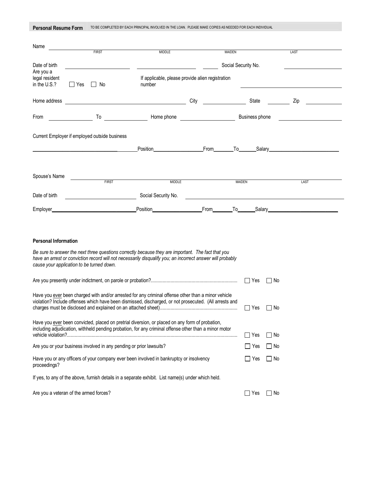| <b>Personal Resume Form</b> | TO BE COMPLETED BY EACH PRINCIPAL INVOLVED IN THE LOAN. PLEASE MAKE COPIES AS NEEDED FOR EACH INDIVIDUAL |  |
|-----------------------------|----------------------------------------------------------------------------------------------------------|--|
|-----------------------------|----------------------------------------------------------------------------------------------------------|--|

| Name                                   |                                                                                                                                                                                                                                |                                                                                                                                                                                                                                     |      |                                                                                                                |           |                                                            |
|----------------------------------------|--------------------------------------------------------------------------------------------------------------------------------------------------------------------------------------------------------------------------------|-------------------------------------------------------------------------------------------------------------------------------------------------------------------------------------------------------------------------------------|------|----------------------------------------------------------------------------------------------------------------|-----------|------------------------------------------------------------|
|                                        | <b>FIRST</b>                                                                                                                                                                                                                   | <b>MIDDLE</b>                                                                                                                                                                                                                       |      | MAIDEN                                                                                                         |           | LAST                                                       |
| Date of birth                          |                                                                                                                                                                                                                                |                                                                                                                                                                                                                                     |      | Social Security No.                                                                                            |           |                                                            |
| Are you a                              |                                                                                                                                                                                                                                |                                                                                                                                                                                                                                     |      |                                                                                                                |           |                                                            |
| legal resident<br>in the U.S.?         | $\Box$ Yes<br>$\Box$ No                                                                                                                                                                                                        | If applicable, please provide alien registration<br>number                                                                                                                                                                          |      |                                                                                                                |           |                                                            |
|                                        |                                                                                                                                                                                                                                |                                                                                                                                                                                                                                     |      |                                                                                                                |           |                                                            |
| Home address                           |                                                                                                                                                                                                                                |                                                                                                                                                                                                                                     | City | State                                                                                                          |           | Zip                                                        |
| From                                   | To the contract of the contract of the contract of the contract of the contract of the contract of the contract of the contract of the contract of the contract of the contract of the contract of the contract of the contrac | Home phone that the same state of the same state of the same state of the state of the state of the state of the state of the state of the state of the state of the state of the state of the state of the state of the state      |      | Business phone                                                                                                 |           |                                                            |
|                                        | Current Employer if employed outside business                                                                                                                                                                                  |                                                                                                                                                                                                                                     |      |                                                                                                                |           |                                                            |
|                                        |                                                                                                                                                                                                                                |                                                                                                                                                                                                                                     |      |                                                                                                                |           |                                                            |
|                                        |                                                                                                                                                                                                                                | Position <b>Example 2018</b> From To Salary Contract Contract Contract Contract Contract Contract Contract Contract Contract Contract Contract Contract Contract Contract Contract Contract Contract Contract Contract Contract Con |      |                                                                                                                |           |                                                            |
|                                        |                                                                                                                                                                                                                                |                                                                                                                                                                                                                                     |      |                                                                                                                |           |                                                            |
| Spouse's Name                          |                                                                                                                                                                                                                                |                                                                                                                                                                                                                                     |      |                                                                                                                |           |                                                            |
|                                        | <b>FIRST</b>                                                                                                                                                                                                                   | <b>MIDDLE</b>                                                                                                                                                                                                                       |      | <b>MAIDEN</b>                                                                                                  |           | <b>LAST</b>                                                |
| Date of birth                          |                                                                                                                                                                                                                                | Social Security No.                                                                                                                                                                                                                 |      |                                                                                                                |           | <u> 1980 - Johann John Stein, fransk politik (f. 1980)</u> |
|                                        |                                                                                                                                                                                                                                |                                                                                                                                                                                                                                     |      |                                                                                                                |           |                                                            |
| Employer_                              | <u> 1989 - Jan James James Barnett, martin d</u>                                                                                                                                                                               |                                                                                                                                                                                                                                     | From | To the state of the state of the state of the state of the state of the state of the state of the state of the |           | Salary                                                     |
|                                        |                                                                                                                                                                                                                                |                                                                                                                                                                                                                                     |      |                                                                                                                |           |                                                            |
|                                        |                                                                                                                                                                                                                                |                                                                                                                                                                                                                                     |      |                                                                                                                |           |                                                            |
| <b>Personal Information</b>            |                                                                                                                                                                                                                                |                                                                                                                                                                                                                                     |      |                                                                                                                |           |                                                            |
|                                        |                                                                                                                                                                                                                                | Be sure to answer the next three questions correctly because they are important. The fact that you                                                                                                                                  |      |                                                                                                                |           |                                                            |
|                                        | cause your application to be turned down.                                                                                                                                                                                      | have an arrest or conviction record will not necessarily disqualify you; an incorrect answer will probably                                                                                                                          |      |                                                                                                                |           |                                                            |
|                                        |                                                                                                                                                                                                                                |                                                                                                                                                                                                                                     |      |                                                                                                                |           |                                                            |
|                                        |                                                                                                                                                                                                                                |                                                                                                                                                                                                                                     |      | $\Box$ Yes                                                                                                     | l INo     |                                                            |
|                                        |                                                                                                                                                                                                                                | Have you ever been charged with and/or arrested for any criminal offense other than a minor vehicle                                                                                                                                 |      |                                                                                                                |           |                                                            |
|                                        |                                                                                                                                                                                                                                | violation? Include offenses which have been dismissed, discharged, or not prosecuted. (All arrests and                                                                                                                              |      |                                                                                                                |           |                                                            |
|                                        |                                                                                                                                                                                                                                |                                                                                                                                                                                                                                     |      | $\Box$ Yes                                                                                                     | ∣ ∣No     |                                                            |
|                                        |                                                                                                                                                                                                                                | Have you ever been convicted, placed on pretrial diversion, or placed on any form of probation,                                                                                                                                     |      |                                                                                                                |           |                                                            |
|                                        |                                                                                                                                                                                                                                | including adjudication, withheld pending probation, for any criminal offense other than a minor motor                                                                                                                               |      |                                                                                                                |           |                                                            |
|                                        |                                                                                                                                                                                                                                |                                                                                                                                                                                                                                     |      | l ⊥l Yes                                                                                                       | $\Box$ No |                                                            |
|                                        | Are you or your business involved in any pending or prior lawsuits?                                                                                                                                                            |                                                                                                                                                                                                                                     |      | ⊟ Yes                                                                                                          | l INo     |                                                            |
| proceedings?                           |                                                                                                                                                                                                                                | Have you or any officers of your company ever been involved in bankruptcy or insolvency                                                                                                                                             |      | l IYes                                                                                                         | $\Box$ No |                                                            |
|                                        |                                                                                                                                                                                                                                | If yes, to any of the above, furnish details in a separate exhibit. List name(s) under which held.                                                                                                                                  |      |                                                                                                                |           |                                                            |
| Are you a veteran of the armed forces? |                                                                                                                                                                                                                                |                                                                                                                                                                                                                                     |      | $\Box$ Yes                                                                                                     | $\Box$ No |                                                            |

 $\overline{\phantom{a}}$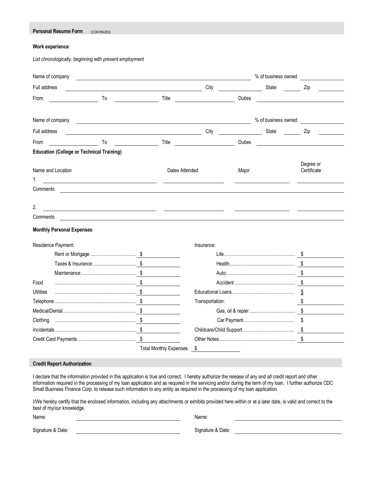| <b>Personal Resume Form</b> | (CONTINUED) |
|-----------------------------|-------------|
|-----------------------------|-------------|

#### **Work experience**

*List chronologically, beginning with present employment* 

|                                                                                         |                                                                                                                                                                                                                                      |                                |               | % of business owned |                                                    |
|-----------------------------------------------------------------------------------------|--------------------------------------------------------------------------------------------------------------------------------------------------------------------------------------------------------------------------------------|--------------------------------|---------------|---------------------|----------------------------------------------------|
| Full address                                                                            |                                                                                                                                                                                                                                      | City                           |               | State               | Zip                                                |
| From<br>To                                                                              | Title                                                                                                                                                                                                                                |                                | <b>Duties</b> |                     | <u> 1989 - Johann Barbara, martin amerikan per</u> |
| Name of company                                                                         | <u> 1989 - Johann Barn, amerikansk politiker (d. 1989)</u>                                                                                                                                                                           |                                |               | % of business owned |                                                    |
| Full address                                                                            | <u>and the set of the set of the set of the set of the set of the set of the set of the set of the set of the set of the set of the set of the set of the set of the set of the set of the set of the set of the set of the set </u> |                                | State         |                     | Zip                                                |
| From<br>To                                                                              | Title                                                                                                                                                                                                                                |                                | Duties        |                     |                                                    |
| <b>Education (College or Technical Training)</b>                                        |                                                                                                                                                                                                                                      |                                |               |                     |                                                    |
| Name and Location<br>1.                                                                 |                                                                                                                                                                                                                                      | Dates Attended                 | Major         |                     | Degree or<br>Certificate                           |
| Comments                                                                                |                                                                                                                                                                                                                                      |                                |               |                     |                                                    |
|                                                                                         |                                                                                                                                                                                                                                      |                                |               |                     |                                                    |
| 2.                                                                                      | <u> 1989 - Andrea Andrew Maria (h. 1989).</u>                                                                                                                                                                                        |                                |               |                     |                                                    |
| Comments                                                                                |                                                                                                                                                                                                                                      |                                |               |                     |                                                    |
|                                                                                         |                                                                                                                                                                                                                                      |                                |               |                     |                                                    |
|                                                                                         |                                                                                                                                                                                                                                      |                                |               |                     |                                                    |
|                                                                                         |                                                                                                                                                                                                                                      | Insurance:                     |               |                     |                                                    |
|                                                                                         |                                                                                                                                                                                                                                      |                                |               |                     |                                                    |
|                                                                                         |                                                                                                                                                                                                                                      |                                |               |                     |                                                    |
|                                                                                         |                                                                                                                                                                                                                                      |                                |               |                     |                                                    |
|                                                                                         |                                                                                                                                                                                                                                      |                                |               |                     |                                                    |
|                                                                                         |                                                                                                                                                                                                                                      |                                |               |                     | \$                                                 |
|                                                                                         |                                                                                                                                                                                                                                      | Transportation:                |               |                     |                                                    |
|                                                                                         |                                                                                                                                                                                                                                      |                                |               |                     |                                                    |
|                                                                                         |                                                                                                                                                                                                                                      |                                |               |                     |                                                    |
|                                                                                         |                                                                                                                                                                                                                                      |                                |               |                     |                                                    |
|                                                                                         |                                                                                                                                                                                                                                      |                                |               |                     |                                                    |
| <b>Monthly Personal Expenses</b><br>Residence Payment:<br>Food<br>Utilities<br>Clothing | <b>Total Monthly Expenses</b>                                                                                                                                                                                                        | S.<br><b>Contract Contract</b> |               |                     |                                                    |

I/We hereby certify that the enclosed information, including any attachments or exhibits provided here within or at a later date, is valid and correct to the best of my/our knowledge.

Small Business Finance Corp. to release such information to any entity as required in the processing of my loan application.

Name: Name: Name: Name: Name: Name: Name: Name: Name: Name: Name: Name: Name: Name: Name: Name: Name: Name: Name: Name: Name: Name: Name: Name: Name: Name: Name: Name: Name: Name: Name: Name: Name: Name: Name: Name: Name:

Signature & Date: Signature & Date: Signature & Date: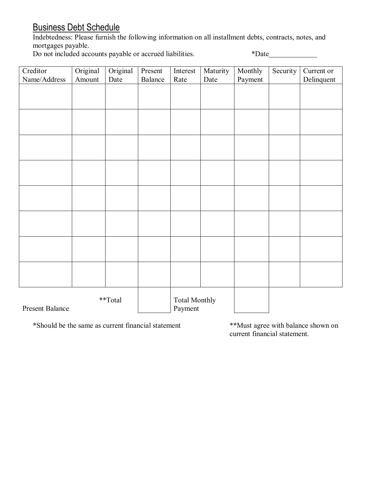## Business Debt Schedule

Indebtedness: Please furnish the following information on all installment debts, contracts, notes, and mortgages payable.

Do not included accounts payable or accrued liabilities. \*\*\* Date\_\_\_\_\_\_\_\_\_\_\_\_\_\_\_

| Creditor        | Original | Original |         |                      |          |         |          |            |
|-----------------|----------|----------|---------|----------------------|----------|---------|----------|------------|
|                 |          |          | Present | Interest             | Maturity | Monthly | Security | Current or |
| Name/Address    | Amount   | Date     | Balance | Rate                 | Date     | Payment |          | Delinquent |
|                 |          |          |         |                      |          |         |          |            |
|                 |          |          |         |                      |          |         |          |            |
|                 |          |          |         |                      |          |         |          |            |
|                 |          |          |         |                      |          |         |          |            |
|                 |          |          |         |                      |          |         |          |            |
|                 |          |          |         |                      |          |         |          |            |
|                 |          |          |         |                      |          |         |          |            |
|                 |          |          |         |                      |          |         |          |            |
|                 |          |          |         |                      |          |         |          |            |
|                 |          |          |         |                      |          |         |          |            |
|                 |          |          |         |                      |          |         |          |            |
|                 |          |          |         |                      |          |         |          |            |
|                 |          |          |         |                      |          |         |          |            |
|                 |          |          |         |                      |          |         |          |            |
|                 |          |          |         |                      |          |         |          |            |
|                 |          |          |         |                      |          |         |          |            |
|                 |          |          |         |                      |          |         |          |            |
|                 |          |          |         |                      |          |         |          |            |
|                 |          |          |         |                      |          |         |          |            |
|                 |          |          |         |                      |          |         |          |            |
|                 |          |          |         |                      |          |         |          |            |
|                 |          |          |         |                      |          |         |          |            |
|                 |          |          |         |                      |          |         |          |            |
|                 |          |          |         |                      |          |         |          |            |
|                 |          |          |         |                      |          |         |          |            |
|                 |          | **Total  |         | <b>Total Monthly</b> |          |         |          |            |
| Present Balance |          |          |         | Payment              |          |         |          |            |

\*Should be the same as current financial statement \*\*Must agree with balance shown on

current financial statement.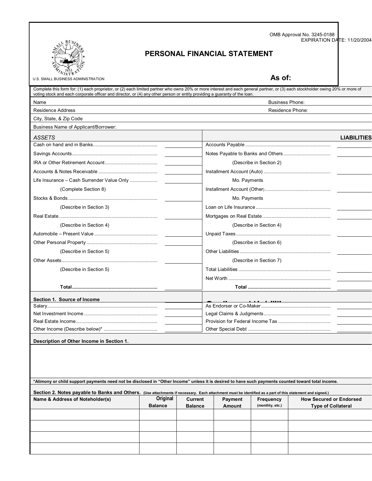| OMB Approval No. 3245-0188  |  |
|-----------------------------|--|
| EXPIRATION DATE: 11/20/2004 |  |



### **PERSONAL FINANCIAL STATEMENT**

U.S. SMALL BUSINESS ADMINISTRATION<br>
U.S. SMALL BUSINESS ADMINISTRATION

| voting stock and each corporate officer and director, or (4) any other person or entity providing a guaranty of the loan. | Complete this form for: (1) each proprietor, or (2) each limited partner who owns 20% or more interest and each general partner, or (3) each stockholder owing 20% or more of |  |  |  |  |  |  |
|---------------------------------------------------------------------------------------------------------------------------|-------------------------------------------------------------------------------------------------------------------------------------------------------------------------------|--|--|--|--|--|--|
| Name<br><b>Business Phone:</b>                                                                                            |                                                                                                                                                                               |  |  |  |  |  |  |
| <b>Residence Address</b><br>Residence Phone:                                                                              |                                                                                                                                                                               |  |  |  |  |  |  |
| City, State, & Zip Code                                                                                                   |                                                                                                                                                                               |  |  |  |  |  |  |
| Business Name of Applicant/Borrower:                                                                                      |                                                                                                                                                                               |  |  |  |  |  |  |
| ASSETS                                                                                                                    | <b>LIABILITIES</b>                                                                                                                                                            |  |  |  |  |  |  |
|                                                                                                                           |                                                                                                                                                                               |  |  |  |  |  |  |
|                                                                                                                           |                                                                                                                                                                               |  |  |  |  |  |  |
|                                                                                                                           | (Describe in Section 2)                                                                                                                                                       |  |  |  |  |  |  |
|                                                                                                                           |                                                                                                                                                                               |  |  |  |  |  |  |
| Life Insurance - Cash Surrender Value Only                                                                                | Mo. Payments                                                                                                                                                                  |  |  |  |  |  |  |
| (Complete Section 8)                                                                                                      |                                                                                                                                                                               |  |  |  |  |  |  |
|                                                                                                                           | Mo. Payments                                                                                                                                                                  |  |  |  |  |  |  |
| (Describe in Section 3)                                                                                                   |                                                                                                                                                                               |  |  |  |  |  |  |
|                                                                                                                           |                                                                                                                                                                               |  |  |  |  |  |  |
| (Describe in Section 4)                                                                                                   | (Describe in Section 4)                                                                                                                                                       |  |  |  |  |  |  |
|                                                                                                                           |                                                                                                                                                                               |  |  |  |  |  |  |
|                                                                                                                           | (Describe in Section 6)                                                                                                                                                       |  |  |  |  |  |  |
| (Describe in Section 5)                                                                                                   |                                                                                                                                                                               |  |  |  |  |  |  |
|                                                                                                                           | (Describe in Section 7)                                                                                                                                                       |  |  |  |  |  |  |
| (Describe in Section 5)                                                                                                   |                                                                                                                                                                               |  |  |  |  |  |  |
|                                                                                                                           |                                                                                                                                                                               |  |  |  |  |  |  |
|                                                                                                                           |                                                                                                                                                                               |  |  |  |  |  |  |
| Section 1. Source of Income                                                                                               |                                                                                                                                                                               |  |  |  |  |  |  |
|                                                                                                                           |                                                                                                                                                                               |  |  |  |  |  |  |
|                                                                                                                           |                                                                                                                                                                               |  |  |  |  |  |  |
|                                                                                                                           |                                                                                                                                                                               |  |  |  |  |  |  |
|                                                                                                                           |                                                                                                                                                                               |  |  |  |  |  |  |
| Description of Other Income in Section 1.                                                                                 |                                                                                                                                                                               |  |  |  |  |  |  |
|                                                                                                                           |                                                                                                                                                                               |  |  |  |  |  |  |
|                                                                                                                           | *Alimony or child support payments need not be disclosed in "Other Income" unless it is desired to have such payments counted toward total income.                            |  |  |  |  |  |  |
|                                                                                                                           | Section 2. Notes payable to Banks and Others. (Use attachments if necessary. Each attachment must be identified as a part of this statement and signed.)                      |  |  |  |  |  |  |
|                                                                                                                           | Original Current Deument Execuses Housesweed Fredered                                                                                                                         |  |  |  |  |  |  |

| Name & Address of Noteholder(s) | Original<br><b>Balance</b> | <b>Current</b><br><b>Balance</b> | Payment<br>Amount | Frequency<br>(monthly, etc.) | <b>How Secured or Endorsed</b><br><b>Type of Collateral</b> |
|---------------------------------|----------------------------|----------------------------------|-------------------|------------------------------|-------------------------------------------------------------|
|                                 |                            |                                  |                   |                              |                                                             |
|                                 |                            |                                  |                   |                              |                                                             |
|                                 |                            |                                  |                   |                              |                                                             |
|                                 |                            |                                  |                   |                              |                                                             |